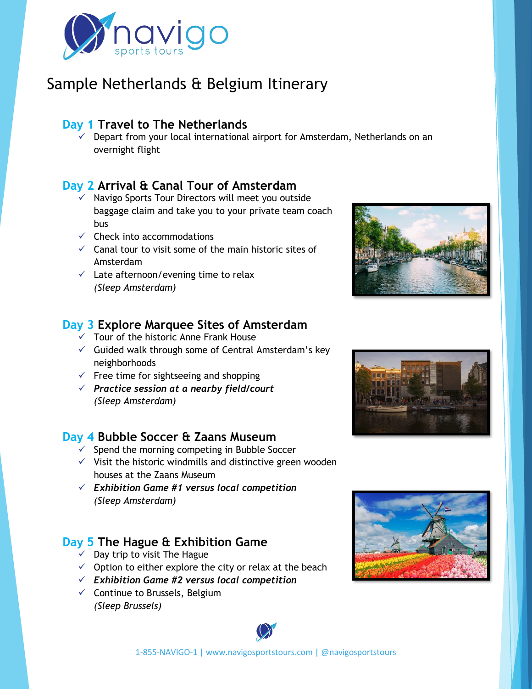

# Sample Netherlands & Belgium Itinerary

### **Day 1 Travel to The Netherlands**

 $\checkmark$  Depart from your local international airport for Amsterdam, Netherlands on an overnight flight

### **Day 2 Arrival & Canal Tour of Amsterdam**

- ✓ Navigo Sports Tour Directors will meet you outside baggage claim and take you to your private team coach bus
- $\checkmark$  Check into accommodations
- $\checkmark$  Canal tour to visit some of the main historic sites of Amsterdam
- $\checkmark$  Late afternoon/evening time to relax *(Sleep Amsterdam)*

### **Day 3 Explore Marquee Sites of Amsterdam**

- $\checkmark$  Tour of the historic Anne Frank House
- $\checkmark$  Guided walk through some of Central Amsterdam's key neighborhoods
- $\checkmark$  Free time for sightseeing and shopping
- ✓ *Practice session at a nearby field/court (Sleep Amsterdam)*

### **Day 4 Bubble Soccer & Zaans Museum**

- $\checkmark$  Spend the morning competing in Bubble Soccer
- $\checkmark$  Visit the historic windmills and distinctive green wooden houses at the Zaans Museum
- ✓ *Exhibition Game #1 versus local competition (Sleep Amsterdam)*

## **Day 5 The Hague & Exhibition Game**

- $\checkmark$  Day trip to visit The Hague
- $\checkmark$  Option to either explore the city or relax at the beach
- ✓ *Exhibition Game #2 versus local competition*
- $\checkmark$  Continue to Brussels, Belgium *(Sleep Brussels)*